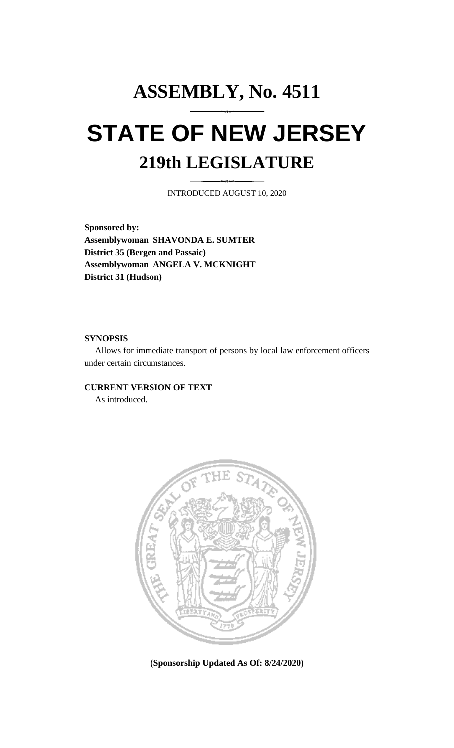# **ASSEMBLY, No. 4511 STATE OF NEW JERSEY 219th LEGISLATURE**

INTRODUCED AUGUST 10, 2020

**Sponsored by: Assemblywoman SHAVONDA E. SUMTER District 35 (Bergen and Passaic) Assemblywoman ANGELA V. MCKNIGHT District 31 (Hudson)**

### **SYNOPSIS**

Allows for immediate transport of persons by local law enforcement officers under certain circumstances.

## **CURRENT VERSION OF TEXT**

As introduced.



**(Sponsorship Updated As Of: 8/24/2020)**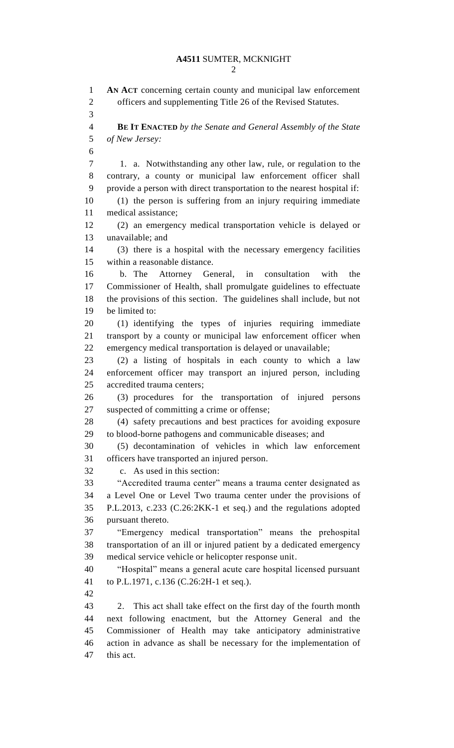**AN ACT** concerning certain county and municipal law enforcement officers and supplementing Title 26 of the Revised Statutes. **BE IT ENACTED** *by the Senate and General Assembly of the State of New Jersey:* 1. a. Notwithstanding any other law, rule, or regulation to the contrary, a county or municipal law enforcement officer shall provide a person with direct transportation to the nearest hospital if: (1) the person is suffering from an injury requiring immediate medical assistance; (2) an emergency medical transportation vehicle is delayed or unavailable; and (3) there is a hospital with the necessary emergency facilities within a reasonable distance. b. The Attorney General, in consultation with the Commissioner of Health, shall promulgate guidelines to effectuate the provisions of this section. The guidelines shall include, but not be limited to: (1) identifying the types of injuries requiring immediate transport by a county or municipal law enforcement officer when emergency medical transportation is delayed or unavailable; (2) a listing of hospitals in each county to which a law enforcement officer may transport an injured person, including accredited trauma centers; (3) procedures for the transportation of injured persons suspected of committing a crime or offense; (4) safety precautions and best practices for avoiding exposure to blood-borne pathogens and communicable diseases; and (5) decontamination of vehicles in which law enforcement officers have transported an injured person. c. As used in this section: "Accredited trauma center" means a trauma center designated as a Level One or Level Two trauma center under the provisions of P.L.2013, c.233 (C.26:2KK-1 et seq.) and the regulations adopted pursuant thereto. "Emergency medical transportation" means the prehospital transportation of an ill or injured patient by a dedicated emergency medical service vehicle or helicopter response unit. "Hospital" means a general acute care hospital licensed pursuant to P.L.1971, c.136 (C.26:2H-1 et seq.). 2. This act shall take effect on the first day of the fourth month next following enactment, but the Attorney General and the Commissioner of Health may take anticipatory administrative action in advance as shall be necessary for the implementation of this act.